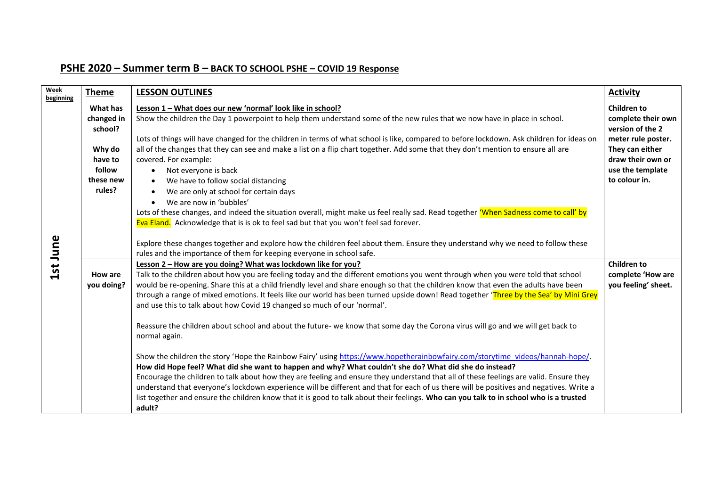## **PSHE 2020 – Summer term B – BACK TO SCHOOL PSHE – COVID 19 Response**

| Week<br>beginning | <b>Theme</b>                                                                            | <b>LESSON OUTLINES</b>                                                                                                                                                                                                                                                                                                                                                                                                                                                                                                                                                                                                                                                                                                                                                                                                                                                                                                                                                                                                                                                                                                                                                                                                                                                                                                                                                                                                                                                                                                                                                                                                                                                                                     | <b>Activity</b>                                                                                                                                                 |
|-------------------|-----------------------------------------------------------------------------------------|------------------------------------------------------------------------------------------------------------------------------------------------------------------------------------------------------------------------------------------------------------------------------------------------------------------------------------------------------------------------------------------------------------------------------------------------------------------------------------------------------------------------------------------------------------------------------------------------------------------------------------------------------------------------------------------------------------------------------------------------------------------------------------------------------------------------------------------------------------------------------------------------------------------------------------------------------------------------------------------------------------------------------------------------------------------------------------------------------------------------------------------------------------------------------------------------------------------------------------------------------------------------------------------------------------------------------------------------------------------------------------------------------------------------------------------------------------------------------------------------------------------------------------------------------------------------------------------------------------------------------------------------------------------------------------------------------------|-----------------------------------------------------------------------------------------------------------------------------------------------------------------|
| 1st June          | What has<br>changed in<br>school?<br>Why do<br>have to<br>follow<br>these new<br>rules? | Lesson 1 - What does our new 'normal' look like in school?<br>Show the children the Day 1 powerpoint to help them understand some of the new rules that we now have in place in school.<br>Lots of things will have changed for the children in terms of what school is like, compared to before lockdown. Ask children for ideas on<br>all of the changes that they can see and make a list on a flip chart together. Add some that they don't mention to ensure all are<br>covered. For example:<br>Not everyone is back<br>$\bullet$<br>We have to follow social distancing<br>$\bullet$<br>We are only at school for certain days<br>We are now in 'bubbles'<br>Lots of these changes, and indeed the situation overall, might make us feel really sad. Read together 'When Sadness come to call' by                                                                                                                                                                                                                                                                                                                                                                                                                                                                                                                                                                                                                                                                                                                                                                                                                                                                                                   | <b>Children to</b><br>complete their own<br>version of the 2<br>meter rule poster.<br>They can either<br>draw their own or<br>use the template<br>to colour in. |
|                   | How are<br>you doing?                                                                   | Eva Eland. Acknowledge that is is ok to feel sad but that you won't feel sad forever.<br>Explore these changes together and explore how the children feel about them. Ensure they understand why we need to follow these<br>rules and the importance of them for keeping everyone in school safe.<br>Lesson 2 - How are you doing? What was lockdown like for you?<br>Talk to the children about how you are feeling today and the different emotions you went through when you were told that school<br>would be re-opening. Share this at a child friendly level and share enough so that the children know that even the adults have been<br>through a range of mixed emotions. It feels like our world has been turned upside down! Read together 'Three by the Sea' by Mini Grey<br>and use this to talk about how Covid 19 changed so much of our 'normal'.<br>Reassure the children about school and about the future- we know that some day the Corona virus will go and we will get back to<br>normal again.<br>Show the children the story 'Hope the Rainbow Fairy' using https://www.hopetherainbowfairy.com/storytime_videos/hannah-hope/.<br>How did Hope feel? What did she want to happen and why? What couldn't she do? What did she do instead?<br>Encourage the children to talk about how they are feeling and ensure they understand that all of these feelings are valid. Ensure they<br>understand that everyone's lockdown experience will be different and that for each of us there will be positives and negatives. Write a<br>list together and ensure the children know that it is good to talk about their feelings. Who can you talk to in school who is a trusted<br>adult? | <b>Children to</b><br>complete 'How are<br>you feeling' sheet.                                                                                                  |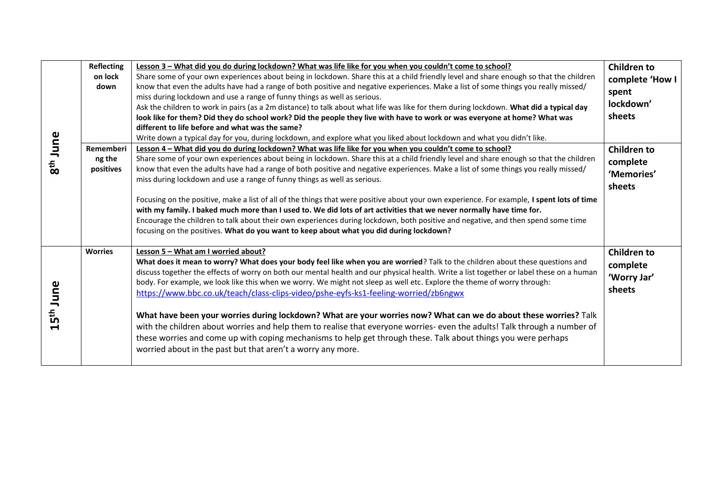| 8 <sup>th</sup> June  | <b>Reflecting</b><br>on lock<br>down | Lesson 3 - What did you do during lockdown? What was life like for you when you couldn't come to school?<br>Share some of your own experiences about being in lockdown. Share this at a child friendly level and share enough so that the children<br>know that even the adults have had a range of both positive and negative experiences. Make a list of some things you really missed/<br>miss during lockdown and use a range of funny things as well as serious.<br>Ask the children to work in pairs (as a 2m distance) to talk about what life was like for them during lockdown. What did a typical day<br>look like for them? Did they do school work? Did the people they live with have to work or was everyone at home? What was<br>different to life before and what was the same? | <b>Children to</b><br>complete 'How I<br>spent<br>lockdown'<br>sheets |
|-----------------------|--------------------------------------|-------------------------------------------------------------------------------------------------------------------------------------------------------------------------------------------------------------------------------------------------------------------------------------------------------------------------------------------------------------------------------------------------------------------------------------------------------------------------------------------------------------------------------------------------------------------------------------------------------------------------------------------------------------------------------------------------------------------------------------------------------------------------------------------------|-----------------------------------------------------------------------|
|                       | Rememberi                            | Write down a typical day for you, during lockdown, and explore what you liked about lockdown and what you didn't like.<br>Lesson 4 - What did you do during lockdown? What was life like for you when you couldn't come to school?                                                                                                                                                                                                                                                                                                                                                                                                                                                                                                                                                              | <b>Children to</b>                                                    |
|                       | ng the<br>positives                  | Share some of your own experiences about being in lockdown. Share this at a child friendly level and share enough so that the children<br>know that even the adults have had a range of both positive and negative experiences. Make a list of some things you really missed/<br>miss during lockdown and use a range of funny things as well as serious.                                                                                                                                                                                                                                                                                                                                                                                                                                       | complete<br>'Memories'<br>sheets                                      |
|                       |                                      | Focusing on the positive, make a list of all of the things that were positive about your own experience. For example, I spent lots of time<br>with my family. I baked much more than I used to. We did lots of art activities that we never normally have time for.<br>Encourage the children to talk about their own experiences during lockdown, both positive and negative, and then spend some time<br>focusing on the positives. What do you want to keep about what you did during lockdown?                                                                                                                                                                                                                                                                                              |                                                                       |
| 15 <sup>th</sup> June | <b>Worries</b>                       | Lesson 5 - What am I worried about?<br>What does it mean to worry? What does your body feel like when you are worried? Talk to the children about these questions and<br>discuss together the effects of worry on both our mental health and our physical health. Write a list together or label these on a human<br>body. For example, we look like this when we worry. We might not sleep as well etc. Explore the theme of worry through:<br>https://www.bbc.co.uk/teach/class-clips-video/pshe-eyfs-ks1-feeling-worried/zb6ngwx                                                                                                                                                                                                                                                             | <b>Children to</b><br>complete<br>'Worry Jar'<br>sheets               |
|                       |                                      | What have been your worries during lockdown? What are your worries now? What can we do about these worries? Talk<br>with the children about worries and help them to realise that everyone worries- even the adults! Talk through a number of<br>these worries and come up with coping mechanisms to help get through these. Talk about things you were perhaps<br>worried about in the past but that aren't a worry any more.                                                                                                                                                                                                                                                                                                                                                                  |                                                                       |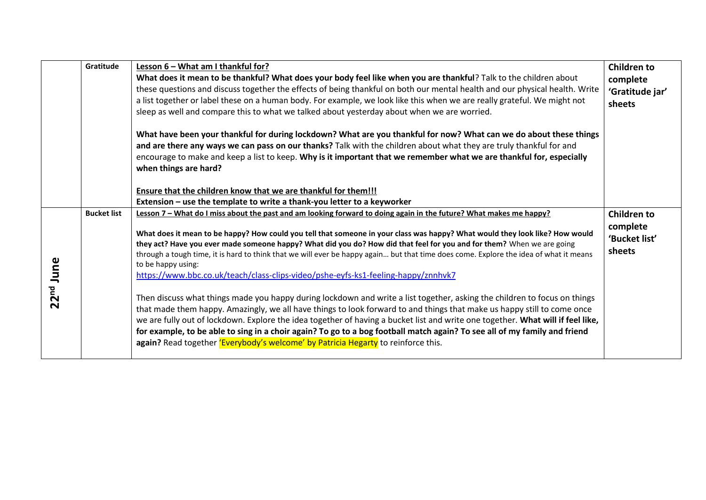|                       | Gratitude          | Lesson 6 - What am I thankful for?<br>What does it mean to be thankful? What does your body feel like when you are thankful? Talk to the children about<br>these questions and discuss together the effects of being thankful on both our mental health and our physical health. Write<br>a list together or label these on a human body. For example, we look like this when we are really grateful. We might not<br>sleep as well and compare this to what we talked about yesterday about when we are worried.<br>What have been your thankful for during lockdown? What are you thankful for now? What can we do about these things<br>and are there any ways we can pass on our thanks? Talk with the children about what they are truly thankful for and<br>encourage to make and keep a list to keep. Why is it important that we remember what we are thankful for, especially<br>when things are hard?<br>Ensure that the children know that we are thankful for them!!!                                                                                                                                                                                                                                                             | <b>Children to</b><br>complete<br>'Gratitude jar'<br>sheets |
|-----------------------|--------------------|-----------------------------------------------------------------------------------------------------------------------------------------------------------------------------------------------------------------------------------------------------------------------------------------------------------------------------------------------------------------------------------------------------------------------------------------------------------------------------------------------------------------------------------------------------------------------------------------------------------------------------------------------------------------------------------------------------------------------------------------------------------------------------------------------------------------------------------------------------------------------------------------------------------------------------------------------------------------------------------------------------------------------------------------------------------------------------------------------------------------------------------------------------------------------------------------------------------------------------------------------|-------------------------------------------------------------|
|                       |                    | Extension - use the template to write a thank-you letter to a keyworker                                                                                                                                                                                                                                                                                                                                                                                                                                                                                                                                                                                                                                                                                                                                                                                                                                                                                                                                                                                                                                                                                                                                                                       |                                                             |
| 22 <sup>nd</sup> June | <b>Bucket list</b> | Lesson 7 - What do I miss about the past and am looking forward to doing again in the future? What makes me happy?<br>What does it mean to be happy? How could you tell that someone in your class was happy? What would they look like? How would<br>they act? Have you ever made someone happy? What did you do? How did that feel for you and for them? When we are going<br>through a tough time, it is hard to think that we will ever be happy again but that time does come. Explore the idea of what it means<br>to be happy using:<br>https://www.bbc.co.uk/teach/class-clips-video/pshe-eyfs-ks1-feeling-happy/znnhvk7<br>Then discuss what things made you happy during lockdown and write a list together, asking the children to focus on things<br>that made them happy. Amazingly, we all have things to look forward to and things that make us happy still to come once<br>we are fully out of lockdown. Explore the idea together of having a bucket list and write one together. What will if feel like,<br>for example, to be able to sing in a choir again? To go to a bog football match again? To see all of my family and friend<br>again? Read together 'Everybody's welcome' by Patricia Hegarty to reinforce this. | <b>Children to</b><br>complete<br>'Bucket list'<br>sheets   |